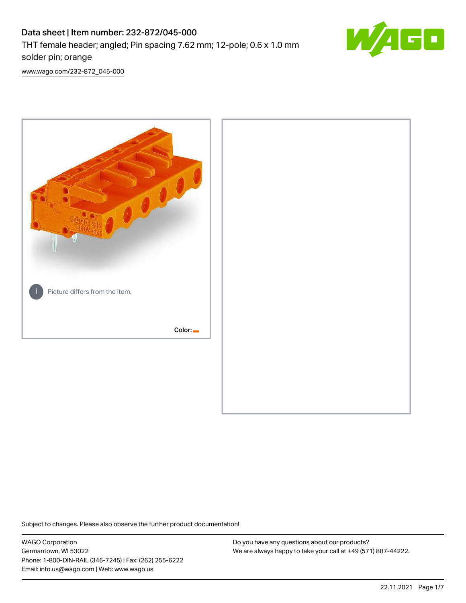# Data sheet | Item number: 232-872/045-000 THT female header; angled; Pin spacing 7.62 mm; 12-pole; 0.6 x 1.0 mm solder pin; orange



[www.wago.com/232-872\\_045-000](http://www.wago.com/232-872_045-000)



Subject to changes. Please also observe the further product documentation!

WAGO Corporation Germantown, WI 53022 Phone: 1-800-DIN-RAIL (346-7245) | Fax: (262) 255-6222 Email: info.us@wago.com | Web: www.wago.us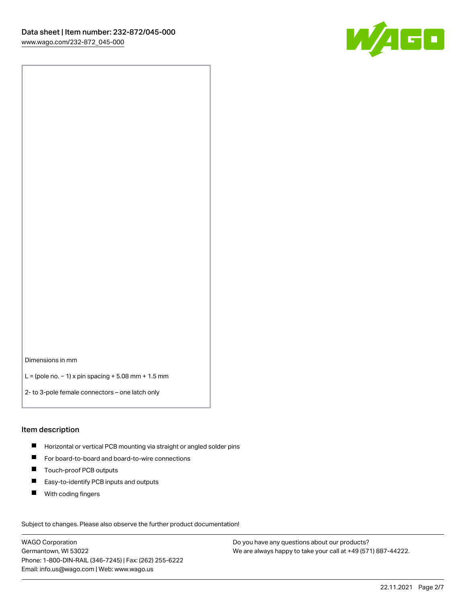

Dimensions in mm

L = (pole no. − 1) x pin spacing + 5.08 mm + 1.5 mm

2- to 3-pole female connectors – one latch only

#### Item description

- **H** Horizontal or vertical PCB mounting via straight or angled solder pins
- For board-to-board and board-to-wire connections
- Touch-proof PCB outputs  $\blacksquare$
- $\blacksquare$ Easy-to-identify PCB inputs and outputs
- $\blacksquare$ With coding fingers

Subject to changes. Please also observe the further product documentation! Data

WAGO Corporation Germantown, WI 53022 Phone: 1-800-DIN-RAIL (346-7245) | Fax: (262) 255-6222 Email: info.us@wago.com | Web: www.wago.us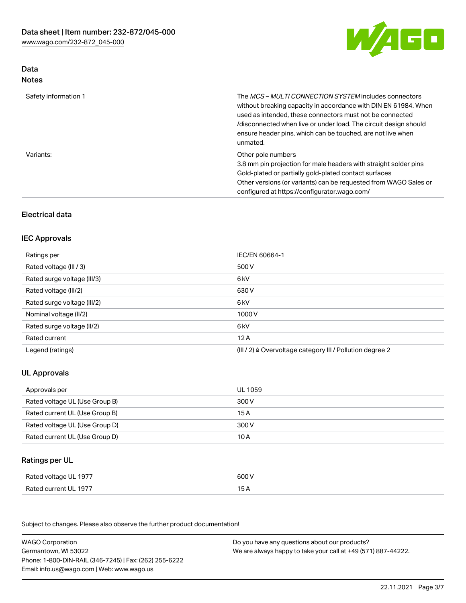

# Data Notes

| Safety information 1 | The <i>MCS – MULTI CONNECTION SYSTEM</i> includes connectors<br>without breaking capacity in accordance with DIN EN 61984. When<br>used as intended, these connectors must not be connected<br>/disconnected when live or under load. The circuit design should<br>ensure header pins, which can be touched, are not live when<br>unmated. |
|----------------------|--------------------------------------------------------------------------------------------------------------------------------------------------------------------------------------------------------------------------------------------------------------------------------------------------------------------------------------------|
| Variants:            | Other pole numbers<br>3.8 mm pin projection for male headers with straight solder pins<br>Gold-plated or partially gold-plated contact surfaces<br>Other versions (or variants) can be requested from WAGO Sales or<br>configured at https://configurator.wago.com/                                                                        |

# Electrical data

### IEC Approvals

| Ratings per                 | IEC/EN 60664-1                                                        |
|-----------------------------|-----------------------------------------------------------------------|
| Rated voltage (III / 3)     | 500 V                                                                 |
| Rated surge voltage (III/3) | 6 <sub>kV</sub>                                                       |
| Rated voltage (III/2)       | 630 V                                                                 |
| Rated surge voltage (III/2) | 6 <sub>kV</sub>                                                       |
| Nominal voltage (II/2)      | 1000V                                                                 |
| Rated surge voltage (II/2)  | 6 <sub>kV</sub>                                                       |
| Rated current               | 12A                                                                   |
| Legend (ratings)            | $(III / 2)$ $\triangle$ Overvoltage category III / Pollution degree 2 |

# UL Approvals

| Approvals per                  | UL 1059 |
|--------------------------------|---------|
| Rated voltage UL (Use Group B) | 300 V   |
| Rated current UL (Use Group B) | 15 A    |
| Rated voltage UL (Use Group D) | 300 V   |
| Rated current UL (Use Group D) | 10 A    |

# Ratings per UL

| Rated voltage UL 1977 | 600 V |
|-----------------------|-------|
| Rated current UL 1977 |       |

Subject to changes. Please also observe the further product documentation!

| <b>WAGO Corporation</b>                                | Do you have any questions about our products?                 |
|--------------------------------------------------------|---------------------------------------------------------------|
| Germantown, WI 53022                                   | We are always happy to take your call at +49 (571) 887-44222. |
| Phone: 1-800-DIN-RAIL (346-7245)   Fax: (262) 255-6222 |                                                               |
| Email: info.us@wago.com   Web: www.wago.us             |                                                               |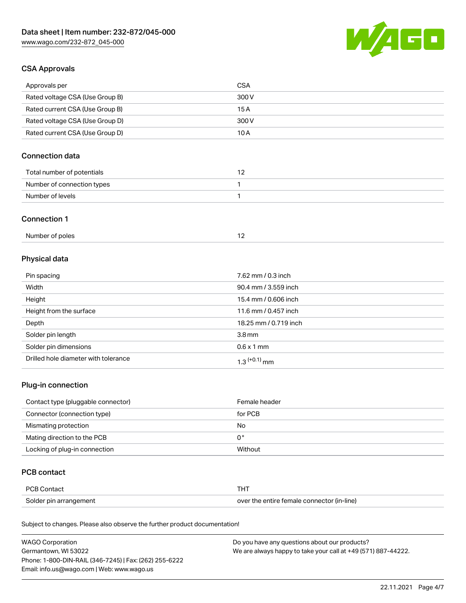

# CSA Approvals

| Approvals per                   | CSA   |
|---------------------------------|-------|
| Rated voltage CSA (Use Group B) | 300 V |
| Rated current CSA (Use Group B) | 15 A  |
| Rated voltage CSA (Use Group D) | 300 V |
| Rated current CSA (Use Group D) | 10 A  |

# Connection data

| Total number of potentials |  |
|----------------------------|--|
| Number of connection types |  |
| Number of levels           |  |

#### Connection 1

# Physical data

| Pin spacing                          | 7.62 mm / 0.3 inch    |
|--------------------------------------|-----------------------|
| Width                                | 90.4 mm / 3.559 inch  |
| Height                               | 15.4 mm / 0.606 inch  |
| Height from the surface              | 11.6 mm / 0.457 inch  |
| Depth                                | 18.25 mm / 0.719 inch |
| Solder pin length                    | 3.8 <sub>mm</sub>     |
| Solder pin dimensions                | $0.6 \times 1$ mm     |
| Drilled hole diameter with tolerance | $1.3$ $(+0.1)$ mm     |

# Plug-in connection

| Contact type (pluggable connector) | Female header |
|------------------------------------|---------------|
| Connector (connection type)        | for PCB       |
| Mismating protection               | No            |
| Mating direction to the PCB        | 0°            |
| Locking of plug-in connection      | Without       |

### PCB contact

| PCB Contact            | THT                                        |
|------------------------|--------------------------------------------|
| Solder pin arrangement | over the entire female connector (in-line) |

Subject to changes. Please also observe the further product documentation!

| <b>WAGO Corporation</b>                                | Do you have any questions about our products?                 |
|--------------------------------------------------------|---------------------------------------------------------------|
| Germantown, WI 53022                                   | We are always happy to take your call at +49 (571) 887-44222. |
| Phone: 1-800-DIN-RAIL (346-7245)   Fax: (262) 255-6222 |                                                               |
| Email: info.us@wago.com   Web: www.wago.us             |                                                               |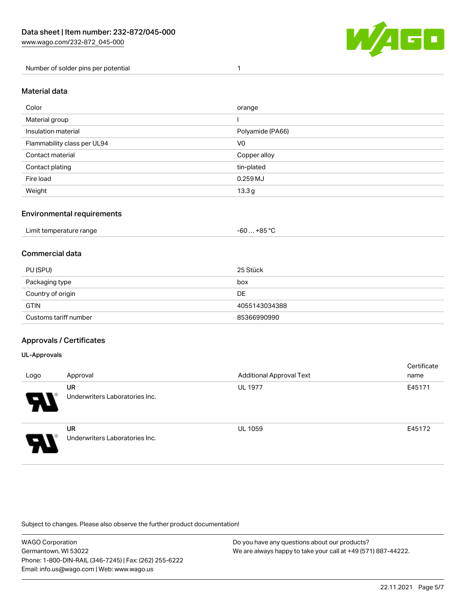

Number of solder pins per potential 1

### Material data

| Color                       | orange            |
|-----------------------------|-------------------|
| Material group              |                   |
| Insulation material         | Polyamide (PA66)  |
| Flammability class per UL94 | V <sub>0</sub>    |
| Contact material            | Copper alloy      |
| Contact plating             | tin-plated        |
| Fire load                   | $0.259$ MJ        |
| Weight                      | 13.3 <sub>g</sub> |

### Environmental requirements

| Limit temperature range<br>. | . +85 °Ր<br>-60 |
|------------------------------|-----------------|
|------------------------------|-----------------|

### Commercial data

| PU (SPU)              | 25 Stück      |
|-----------------------|---------------|
| Packaging type        | box           |
| Country of origin     | <b>DE</b>     |
| <b>GTIN</b>           | 4055143034388 |
| Customs tariff number | 85366990990   |

### Approvals / Certificates

#### UL-Approvals

ш

| Logo | Approval                             | <b>Additional Approval Text</b> | Certificate<br>name |
|------|--------------------------------------|---------------------------------|---------------------|
| 8    | UR<br>Underwriters Laboratories Inc. | <b>UL 1977</b>                  | E45171              |
| I    | UR<br>Underwriters Laboratories Inc. | <b>UL 1059</b>                  | E45172              |

Subject to changes. Please also observe the further product documentation!

| <b>WAGO Corporation</b>                                | Do you have any questions about our products?                 |
|--------------------------------------------------------|---------------------------------------------------------------|
| Germantown, WI 53022                                   | We are always happy to take your call at +49 (571) 887-44222. |
| Phone: 1-800-DIN-RAIL (346-7245)   Fax: (262) 255-6222 |                                                               |
| Email: info.us@wago.com   Web: www.wago.us             |                                                               |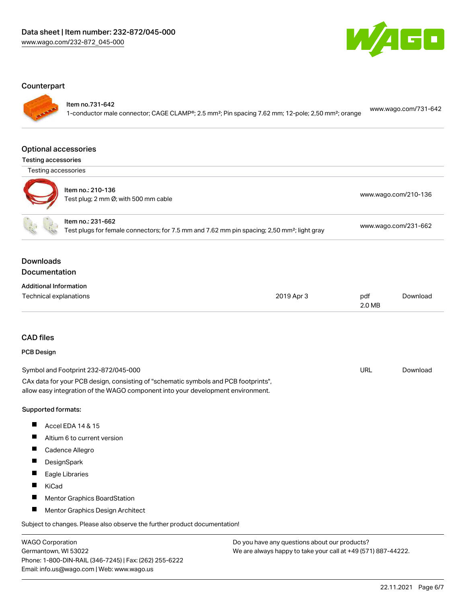

#### **Counterpart**

Item no.731-642

1-conductor male connector; CAGE CLAMP®; 2.5 mm²; Pin spacing 7.62 mm; 12-pole; 2,50 mm²; orange [www.wago.com/731-642](https://www.wago.com/731-642)

#### Optional accessories

Testing accessories



| . |                                                           |                                           |
|---|-----------------------------------------------------------|-------------------------------------------|
|   | Item no.: 210-136<br>Test plug; 2 mm Ø; with 500 mm cable | www.wago.com/210-136                      |
|   | Item no.: 231-662                                         | $\sim$ $\sim$ $\sim$ $\sim$ $\sim$ $\sim$ |

Test plugs for female connectors; for 7.5 mm and 7.62 mm pin spacing; 2,50 mm²; light gray [www.wago.com/231-662](http://www.wago.com/231-662)

### Downloads **Documentation**

| <b>Additional Information</b> |  |
|-------------------------------|--|
|                               |  |

| Technical explanations | 2019 Apr 3 | pdf    | Download |
|------------------------|------------|--------|----------|
|                        |            | 2.0 MB |          |

# CAD files

#### PCB Design

| Symbol and Footprint 232-872/045-000                                                | URL | Download |
|-------------------------------------------------------------------------------------|-----|----------|
| CAx data for your PCB design, consisting of "schematic symbols and PCB footprints", |     |          |
| allow easy integration of the WAGO component into your development environment.     |     |          |

#### Supported formats:

- $\blacksquare$ Accel EDA 14 & 15
- $\blacksquare$ Altium 6 to current version
- Cadence Allegro
- $\blacksquare$ **DesignSpark**
- $\blacksquare$ Eagle Libraries
- $\blacksquare$ KiCad
- $\blacksquare$ Mentor Graphics BoardStation
- $\blacksquare$ Mentor Graphics Design Architect

Subject to changes. Please also observe the further product documentation!

WAGO Corporation Germantown, WI 53022 Phone: 1-800-DIN-RAIL (346-7245) | Fax: (262) 255-6222 Email: info.us@wago.com | Web: www.wago.us